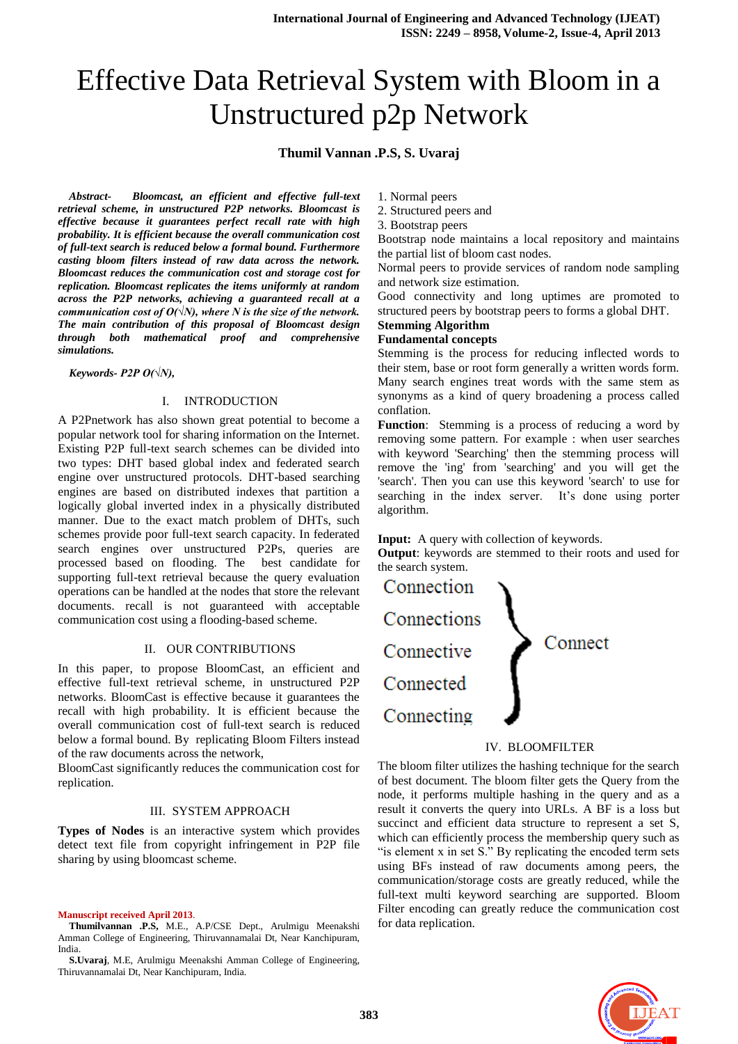# Effective Data Retrieval System with Bloom in a Unstructured p2p Network

## **Thumil Vannan .P.S, S. Uvaraj**

*Abstract- Bloomcast, an efficient and effective full-text retrieval scheme, in unstructured P2P networks. Bloomcast is effective because it guarantees perfect recall rate with high probability. It is efficient because the overall communication cost of full-text search is reduced below a formal bound. Furthermore casting bloom filters instead of raw data across the network. Bloomcast reduces the communication cost and storage cost for replication. Bloomcast replicates the items uniformly at random across the P2P networks, achieving a guaranteed recall at a communication cost of O(* $\sqrt{N}$ *), where N is the size of the network. The main contribution of this proposal of Bloomcast design through both mathematical proof and comprehensive simulations.*

*Keywords- P2P O(√N),*

#### I. INTRODUCTION

A P2Pnetwork has also shown great potential to become a popular network tool for sharing information on the Internet. Existing P2P full-text search schemes can be divided into two types: DHT based global index and federated search engine over unstructured protocols. DHT-based searching engines are based on distributed indexes that partition a logically global inverted index in a physically distributed manner. Due to the exact match problem of DHTs, such schemes provide poor full-text search capacity. In federated search engines over unstructured P2Ps, queries are processed based on flooding. The best candidate for supporting full-text retrieval because the query evaluation operations can be handled at the nodes that store the relevant documents. recall is not guaranteed with acceptable communication cost using a flooding-based scheme.

#### II. OUR CONTRIBUTIONS

In this paper, to propose BloomCast, an efficient and effective full-text retrieval scheme, in unstructured P2P networks. BloomCast is effective because it guarantees the recall with high probability. It is efficient because the overall communication cost of full-text search is reduced below a formal bound. By replicating Bloom Filters instead of the raw documents across the network,

BloomCast significantly reduces the communication cost for replication.

#### III. SYSTEM APPROACH

**Types of Nodes** is an interactive system which provides detect text file from copyright infringement in P2P file sharing by using bloomcast scheme.

**Manuscript received April 2013**.

**Thumilvannan .P.S,** M.E., A.P/CSE Dept., Arulmigu Meenakshi Amman College of Engineering, Thiruvannamalai Dt, Near Kanchipuram, India.

**S.Uvaraj**, M.E, Arulmigu Meenakshi Amman College of Engineering, Thiruvannamalai Dt, Near Kanchipuram, India.

1. Normal peers

2. Structured peers and

3. Bootstrap peers

Bootstrap node maintains a local repository and maintains the partial list of bloom cast nodes.

Normal peers to provide services of random node sampling and network size estimation.

Good connectivity and long uptimes are promoted to structured peers by bootstrap peers to forms a global DHT.

# **Stemming Algorithm**

**Fundamental concepts**

Stemming is the process for reducing inflected words to their stem, base or root form generally a written words form. Many search engines treat words with the same stem as synonyms as a kind of query broadening a process called conflation.

**Function**: Stemming is a process of reducing a word by removing some pattern. For example : when user searches with keyword 'Searching' then the stemming process will remove the 'ing' from 'searching' and you will get the 'search'. Then you can use this keyword 'search' to use for searching in the index server. It's done using porter algorithm.

#### **Input:** A query with collection of keywords.

**Output**: keywords are stemmed to their roots and used for the search system.



#### IV. BLOOMFILTER

The bloom filter utilizes the hashing technique for the search of best document. The bloom filter gets the Query from the node, it performs multiple hashing in the query and as a result it converts the query into URLs. A BF is a loss but succinct and efficient data structure to represent a set S, which can efficiently process the membership query such as "is element x in set S." By replicating the encoded term sets using BFs instead of raw documents among peers, the communication/storage costs are greatly reduced, while the full-text multi keyword searching are supported. Bloom Filter encoding can greatly reduce the communication cost for data replication.

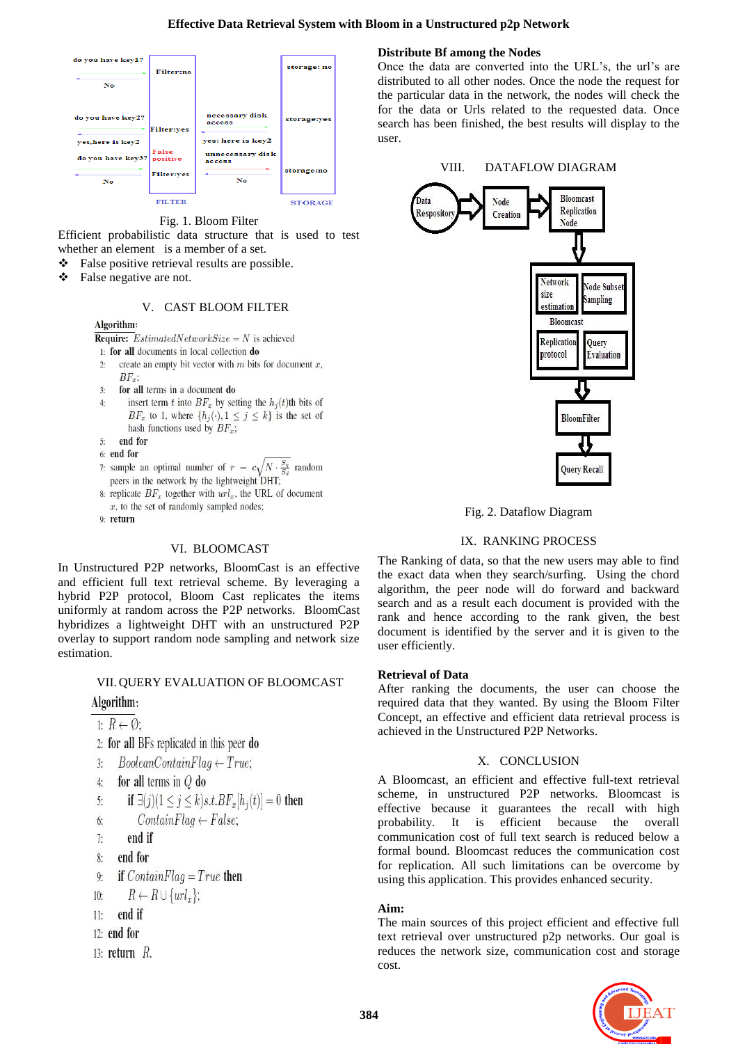

Fig. 1. Bloom Filter

Efficient probabilistic data structure that is used to test whether an element is a member of a set.

- \* False positive retrieval results are possible.
- $\bullet$  False negative are not.

#### V. CAST BLOOM FILTER

#### Algorithm:

- **Require:** *EstimatedNetworkSize* = *N* is achieved
- 1: for all documents in local collection do
- create an empty bit vector with  $m$  bits for document  $x$ ,  $2:$  $BF_r$ :
- $3.$ for all terms in a document do
- insert term t into  $BF_x$  by setting the  $h_i(t)$ th bits of  $4:$  $BF_x$  to 1, where  $\{h_j(\cdot), 1 \leq j \leq k\}$  is the set of hash functions used by  $BF_x$ ;
- end for  $5:$
- 6: end for
- 7: sample an optimal number of  $r = c\sqrt{N} \cdot \frac{S_q}{S_d}$  random peers in the network by the lightweight DHT;
- 8: replicate  $BF_x$  together with  $url_x$ , the URL of document  $x$ , to the set of randomly sampled nodes;
- 9: return

## VI. BLOOMCAST

In Unstructured P2P networks, BloomCast is an effective and efficient full text retrieval scheme. By leveraging a hybrid P2P protocol, Bloom Cast replicates the items uniformly at random across the P2P networks. BloomCast hybridizes a lightweight DHT with an unstructured P2P overlay to support random node sampling and network size estimation.

## VII. QUERY EVALUATION OF BLOOMCAST

## Algorithm:

1:  $R \leftarrow \emptyset$ :

- 2: for all BFs replicated in this peer do
- $BooleanContainerTag \leftarrow True;$  $3:$

4: for all terms in 
$$
Q
$$
 do

$$
\text{5:} \qquad \text{if } \exists(j)(1 \leq j \leq k) \\ s.t. \\ BF_x[h_j(t)] = 0 \text{ then}
$$

- $ContainerTag \leftarrow False;$ 6:
- end if  $7:$
- 
- end for  $8:$
- if  $ContainerFlag = True$  then  $9:$
- $R \leftarrow R \cup \{url_x\};$  $10:$
- end if  $11:$
- $12:$  end for
- 13: return  $R$ .

## **Distribute Bf among the Nodes**

Once the data are converted into the URL's, the url's are distributed to all other nodes. Once the node the request for the particular data in the network, the nodes will check the for the data or Urls related to the requested data. Once search has been finished, the best results will display to the user.



Fig. 2. Dataflow Diagram

## IX. RANKING PROCESS

The Ranking of data, so that the new users may able to find the exact data when they search/surfing. Using the chord algorithm, the peer node will do forward and backward search and as a result each document is provided with the rank and hence according to the rank given, the best document is identified by the server and it is given to the user efficiently.

## **Retrieval of Data**

After ranking the documents, the user can choose the required data that they wanted. By using the Bloom Filter Concept, an effective and efficient data retrieval process is achieved in the Unstructured P2P Networks.

## X. CONCLUSION

A Bloomcast, an efficient and effective full-text retrieval scheme, in unstructured P2P networks. Bloomcast is effective because it guarantees the recall with high probability. It is efficient because the overall communication cost of full text search is reduced below a formal bound. Bloomcast reduces the communication cost for replication. All such limitations can be overcome by using this application. This provides enhanced security.

## **Aim:**

The main sources of this project efficient and effective full text retrieval over unstructured p2p networks. Our goal is reduces the network size, communication cost and storage cost.